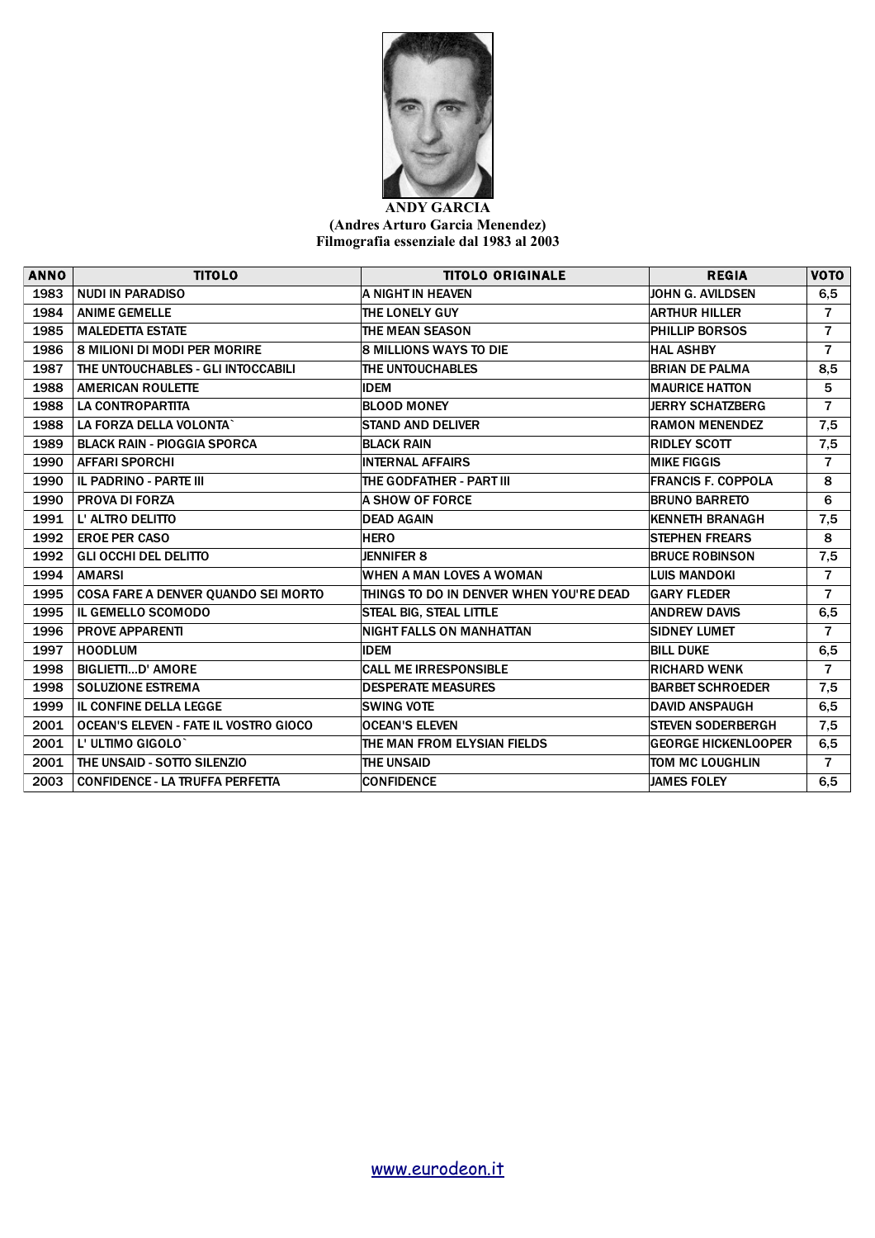

## **ANDY GARCIA (Andres Arturo Garcia Menendez) Filmografia essenziale dal 1983 al 2003**

| <b>ANNO</b> | <b>TITOLO</b>                                | <b>TITOLO ORIGINALE</b>                 | <b>REGIA</b>               | <b>VOTO</b>    |
|-------------|----------------------------------------------|-----------------------------------------|----------------------------|----------------|
| 1983        | <b>NUDI IN PARADISO</b>                      | A NIGHT IN HEAVEN                       | <b>JOHN G. AVILDSEN</b>    | 6,5            |
| 1984        | <b>ANIME GEMELLE</b>                         | <b>THE LONELY GUY</b>                   | <b>ARTHUR HILLER</b>       | $\overline{7}$ |
| 1985        | <b>MALEDETTA ESTATE</b>                      | <b>THE MEAN SEASON</b>                  | PHILLIP BORSOS             | $\overline{7}$ |
| 1986        | <b>8 MILIONI DI MODI PER MORIRE</b>          | <b>8 MILLIONS WAYS TO DIE</b>           | <b>HAL ASHBY</b>           | $\overline{7}$ |
| 1987        | THE UNTOUCHABLES - GLI INTOCCABILI           | THE UNTOUCHABLES                        | <b>BRIAN DE PALMA</b>      | 8,5            |
| 1988        | <b>AMERICAN ROULETTE</b>                     | <b>IDEM</b>                             | <b>MAURICE HATTON</b>      | 5              |
| 1988        | <b>LA CONTROPARTITA</b>                      | <b>BLOOD MONEY</b>                      | <b>JERRY SCHATZBERG</b>    | $\overline{7}$ |
| 1988        | LA FORZA DELLA VOLONTA`                      | <b>STAND AND DELIVER</b>                | <b>RAMON MENENDEZ</b>      | 7,5            |
| 1989        | <b>BLACK RAIN - PIOGGIA SPORCA</b>           | <b>BLACK RAIN</b>                       | <b>RIDLEY SCOTT</b>        | 7,5            |
| 1990        | <b>AFFARI SPORCHI</b>                        | <b>INTERNAL AFFAIRS</b>                 | <b>MIKE FIGGIS</b>         | $\overline{7}$ |
| 1990        | IL PADRINO - PARTE III                       | THE GODFATHER - PART III                | <b>FRANCIS F. COPPOLA</b>  | 8              |
| 1990        | <b>PROVA DI FORZA</b>                        | <b>A SHOW OF FORCE</b>                  | <b>BRUNO BARRETO</b>       | 6              |
| 1991        | L' ALTRO DELITTO                             | <b>DEAD AGAIN</b>                       | <b>KENNETH BRANAGH</b>     | 7,5            |
| 1992        | <b>EROE PER CASO</b>                         | <b>HERO</b>                             | <b>STEPHEN FREARS</b>      | 8              |
| 1992        | <b>GLI OCCHI DEL DELITTO</b>                 | <b>JENNIFER 8</b>                       | <b>BRUCE ROBINSON</b>      | 7,5            |
| 1994        | <b>AMARSI</b>                                | WHEN A MAN LOVES A WOMAN                | <b>LUIS MANDOKI</b>        | $\overline{7}$ |
| 1995        | COSA FARE A DENVER QUANDO SEI MORTO          | THINGS TO DO IN DENVER WHEN YOU'RE DEAD | <b>GARY FLEDER</b>         | $\overline{7}$ |
| 1995        | <b>IL GEMELLO SCOMODO</b>                    | <b>STEAL BIG, STEAL LITTLE</b>          | <b>ANDREW DAVIS</b>        | 6,5            |
| 1996        | <b>PROVE APPARENTI</b>                       | <b>NIGHT FALLS ON MANHATTAN</b>         | <b>SIDNEY LUMET</b>        | $\overline{7}$ |
| 1997        | <b>HOODLUM</b>                               | <b>IDEM</b>                             | <b>BILL DUKE</b>           | 6,5            |
| 1998        | <b>BIGLIETTID' AMORE</b>                     | <b>CALL ME IRRESPONSIBLE</b>            | <b>RICHARD WENK</b>        | $\overline{7}$ |
| 1998        | <b>SOLUZIONE ESTREMA</b>                     | <b>DESPERATE MEASURES</b>               | <b>BARBET SCHROEDER</b>    | 7,5            |
| 1999        | IL CONFINE DELLA LEGGE                       | <b>SWING VOTE</b>                       | <b>DAVID ANSPAUGH</b>      | 6, 5           |
| 2001        | <b>OCEAN'S ELEVEN - FATE IL VOSTRO GIOCO</b> | <b>OCEAN'S ELEVEN</b>                   | <b>STEVEN SODERBERGH</b>   | 7,5            |
| 2001        | L' ULTIMO GIGOLO <sup>®</sup>                | THE MAN FROM ELYSIAN FIELDS             | <b>GEORGE HICKENLOOPER</b> | 6,5            |
| 2001        | THE UNSAID - SOTTO SILENZIO                  | <b>THE UNSAID</b>                       | TOM MC LOUGHLIN            | $\overline{7}$ |
| 2003        | <b>CONFIDENCE - LA TRUFFA PERFETTA</b>       | <b>CONFIDENCE</b>                       | <b>JAMES FOLEY</b>         | 6,5            |